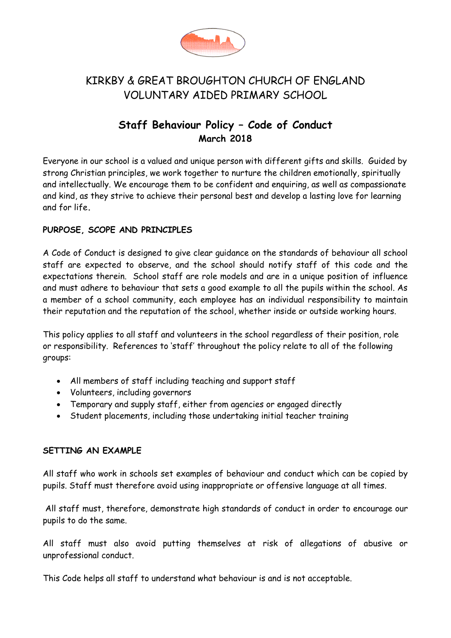

# KIRKBY & GREAT BROUGHTON CHURCH OF ENGLAND VOLUNTARY AIDED PRIMARY SCHOOL

## **Staff Behaviour Policy – Code of Conduct March 2018**

Everyone in our school is a valued and unique person with different gifts and skills. Guided by strong Christian principles, we work together to nurture the children emotionally, spiritually and intellectually. We encourage them to be confident and enquiring, as well as compassionate and kind, as they strive to achieve their personal best and develop a lasting love for learning and for life**.**

#### **PURPOSE, SCOPE AND PRINCIPLES**

A Code of Conduct is designed to give clear guidance on the standards of behaviour all school staff are expected to observe, and the school should notify staff of this code and the expectations therein. School staff are role models and are in a unique position of influence and must adhere to behaviour that sets a good example to all the pupils within the school. As a member of a school community, each employee has an individual responsibility to maintain their reputation and the reputation of the school, whether inside or outside working hours.

This policy applies to all staff and volunteers in the school regardless of their position, role or responsibility. References to 'staff' throughout the policy relate to all of the following groups:

- All members of staff including teaching and support staff
- Volunteers, including governors
- Temporary and supply staff, either from agencies or engaged directly
- Student placements, including those undertaking initial teacher training

#### **SETTING AN EXAMPLE**

All staff who work in schools set examples of behaviour and conduct which can be copied by pupils. Staff must therefore avoid using inappropriate or offensive language at all times.

All staff must, therefore, demonstrate high standards of conduct in order to encourage our pupils to do the same.

All staff must also avoid putting themselves at risk of allegations of abusive or unprofessional conduct.

This Code helps all staff to understand what behaviour is and is not acceptable.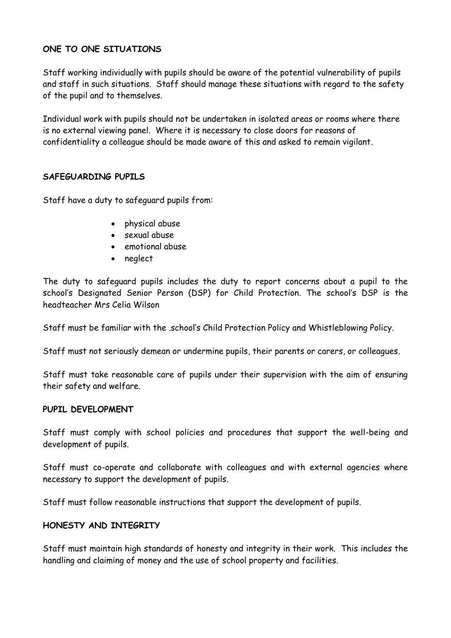### **ONE TO ONE SITUATIONS**

Staff working individually with pupils should be aware of the potential vulnerability of pupils and staff in such situations. Staff should manage these situations with regard to the safety of the pupil and to themselves.

Individual work with pupils should not be undertaken in isolated areas or rooms where there is no external viewing panel. Where it is necessary to close doors for reasons of confidentiality a colleague should be made aware of this and asked to remain vigilant.

#### **SAFEGUARDING PUPILS**

Staff have a duty to safeguard pupils from:

- physical abuse
- sexual abuse
- emotional abuse
- neglect

The duty to safeguard pupils includes the duty to report concerns about a pupil to the school's Designated Senior Person (DSP) for Child Protection. The school's DSP is the headteacher Mrs Celia Wilson

Staff must be familiar with the .school's Child Protection Policy and Whistleblowing Policy.

Staff must not seriously demean or undermine pupils, their parents or carers, or colleagues.

Staff must take reasonable care of pupils under their supervision with the aim of ensuring their safety and welfare.

#### **PUPIL DEVELOPMENT**

Staff must comply with school policies and procedures that support the well-being and development of pupils.

Staff must co-operate and collaborate with colleagues and with external agencies where necessary to support the development of pupils.

Staff must follow reasonable instructions that support the development of pupils.

#### **HONESTY AND INTEGRITY**

Staff must maintain high standards of honesty and integrity in their work. This includes the handling and claiming of money and the use of school property and facilities.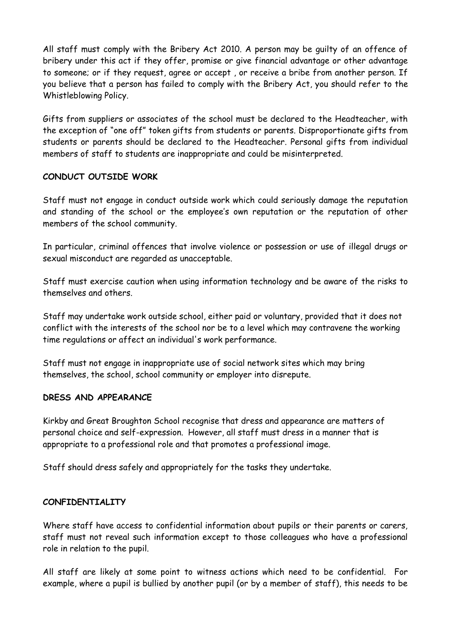All staff must comply with the Bribery Act 2010. A person may be guilty of an offence of bribery under this act if they offer, promise or give financial advantage or other advantage to someone; or if they request, agree or accept , or receive a bribe from another person. If you believe that a person has failed to comply with the Bribery Act, you should refer to the Whistleblowing Policy.

Gifts from suppliers or associates of the school must be declared to the Headteacher, with the exception of "one off" token gifts from students or parents. Disproportionate gifts from students or parents should be declared to the Headteacher. Personal gifts from individual members of staff to students are inappropriate and could be misinterpreted.

#### **CONDUCT OUTSIDE WORK**

Staff must not engage in conduct outside work which could seriously damage the reputation and standing of the school or the employee's own reputation or the reputation of other members of the school community.

In particular, criminal offences that involve violence or possession or use of illegal drugs or sexual misconduct are regarded as unacceptable.

Staff must exercise caution when using information technology and be aware of the risks to themselves and others.

Staff may undertake work outside school, either paid or voluntary, provided that it does not conflict with the interests of the school nor be to a level which may contravene the working time regulations or affect an individual's work performance.

Staff must not engage in inappropriate use of social network sites which may bring themselves, the school, school community or employer into disrepute.

#### **DRESS AND APPEARANCE**

Kirkby and Great Broughton School recognise that dress and appearance are matters of personal choice and self-expression. However, all staff must dress in a manner that is appropriate to a professional role and that promotes a professional image.

Staff should dress safely and appropriately for the tasks they undertake.

#### **CONFIDENTIALITY**

Where staff have access to confidential information about pupils or their parents or carers, staff must not reveal such information except to those colleagues who have a professional role in relation to the pupil.

All staff are likely at some point to witness actions which need to be confidential. For example, where a pupil is bullied by another pupil (or by a member of staff), this needs to be